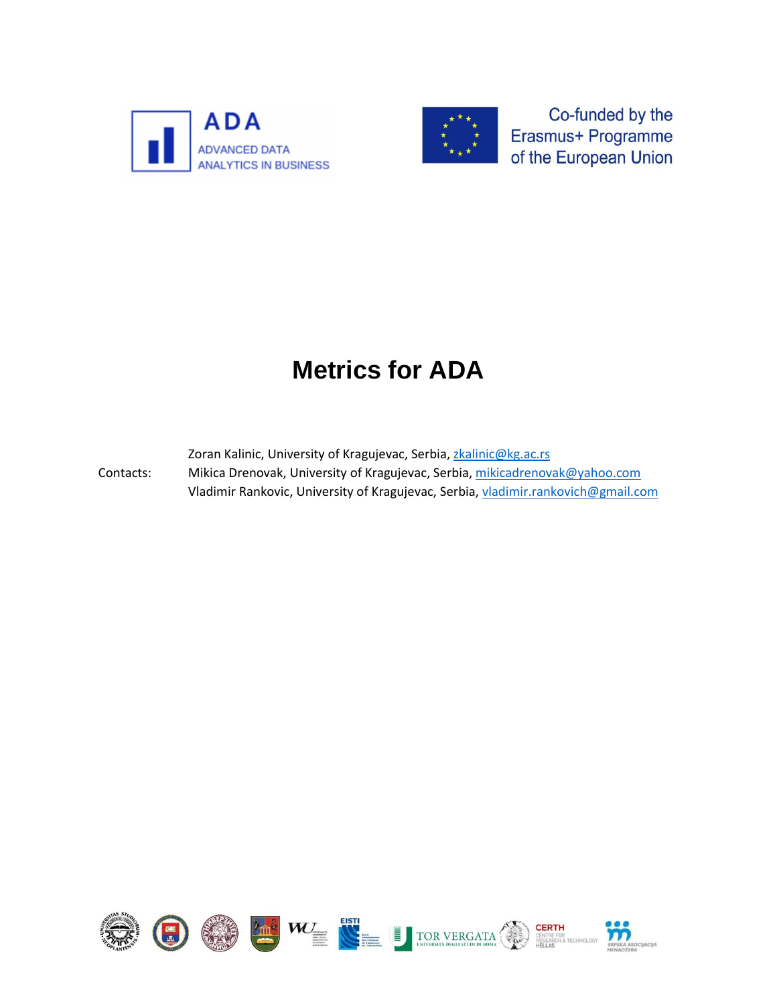



Co-funded by the Erasmus+ Programme of the European Union

## **Metrics for ADA**

Zoran Kalinic, University of Kragujevac, Serbia, [zkalinic@kg.ac.rs](mailto:zkalinic@kg.ac.rs)

Contacts: Mikica Drenovak, University of Kragujevac, Serbia[, mikicadrenovak@yahoo.com](mailto:mikicadrenovak@yahoo.com) Vladimir Rankovic, University of Kragujevac, Serbia, [vladimir.rankovich@gmail.com](mailto:vladimir.rankovich@gmail.com)



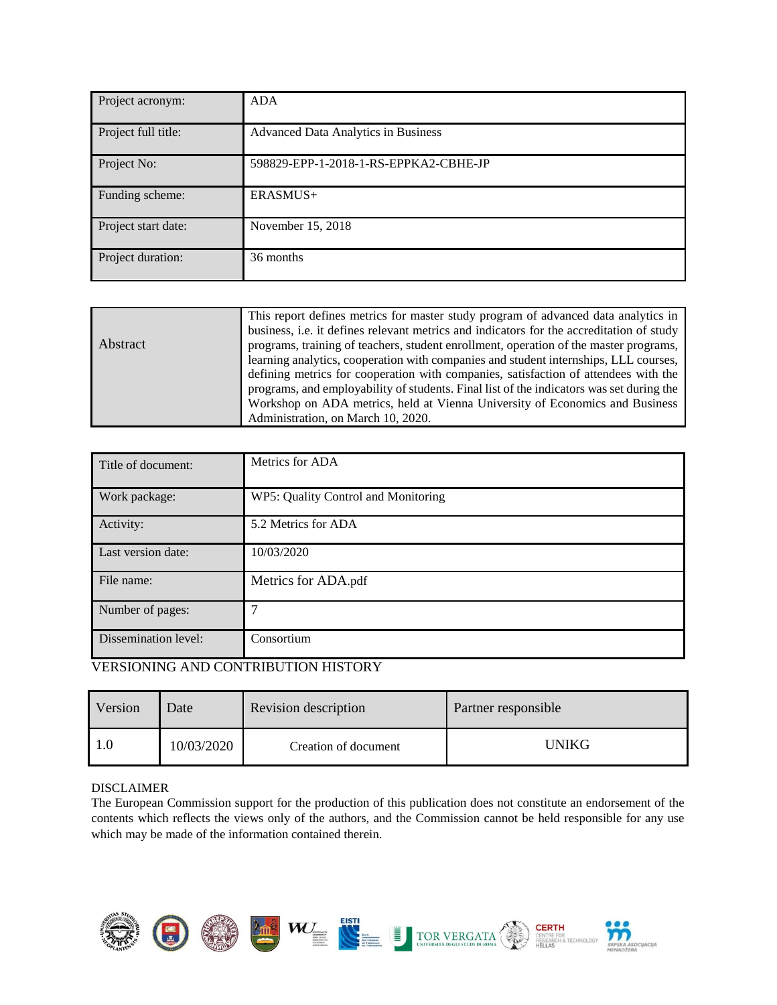| Project acronym:    | <b>ADA</b>                                 |
|---------------------|--------------------------------------------|
| Project full title: | <b>Advanced Data Analytics in Business</b> |
| Project No:         | 598829-EPP-1-2018-1-RS-EPPKA2-CBHE-JP      |
| Funding scheme:     | ERASMUS+                                   |
| Project start date: | November 15, 2018                          |
| Project duration:   | 36 months                                  |

| Abstract | This report defines metrics for master study program of advanced data analytics in<br>business, i.e. it defines relevant metrics and indicators for the accreditation of study<br>programs, training of teachers, student enrollment, operation of the master programs,<br>learning analytics, cooperation with companies and student internships, LLL courses,<br>defining metrics for cooperation with companies, satisfaction of attendees with the |
|----------|--------------------------------------------------------------------------------------------------------------------------------------------------------------------------------------------------------------------------------------------------------------------------------------------------------------------------------------------------------------------------------------------------------------------------------------------------------|
|          | programs, and employability of students. Final list of the indicators was set during the<br>Workshop on ADA metrics, held at Vienna University of Economics and Business                                                                                                                                                                                                                                                                               |
|          | Administration, on March 10, 2020.                                                                                                                                                                                                                                                                                                                                                                                                                     |

| Title of document:   | Metrics for ADA                     |
|----------------------|-------------------------------------|
| Work package:        | WP5: Quality Control and Monitoring |
| Activity:            | 5.2 Metrics for ADA                 |
| Last version date:   | 10/03/2020                          |
| File name:           | Metrics for ADA.pdf                 |
| Number of pages:     | 7                                   |
| Dissemination level: | Consortium                          |

## VERSIONING AND CONTRIBUTION HISTORY

| Version | Date       | Revision description | Partner responsible |
|---------|------------|----------------------|---------------------|
|         | 10/03/2020 | Creation of document | UNIKG               |

## DISCLAIMER

The European Commission support for the production of this publication does not constitute an endorsement of the contents which reflects the views only of the authors, and the Commission cannot be held responsible for any use which may be made of the information contained therein.



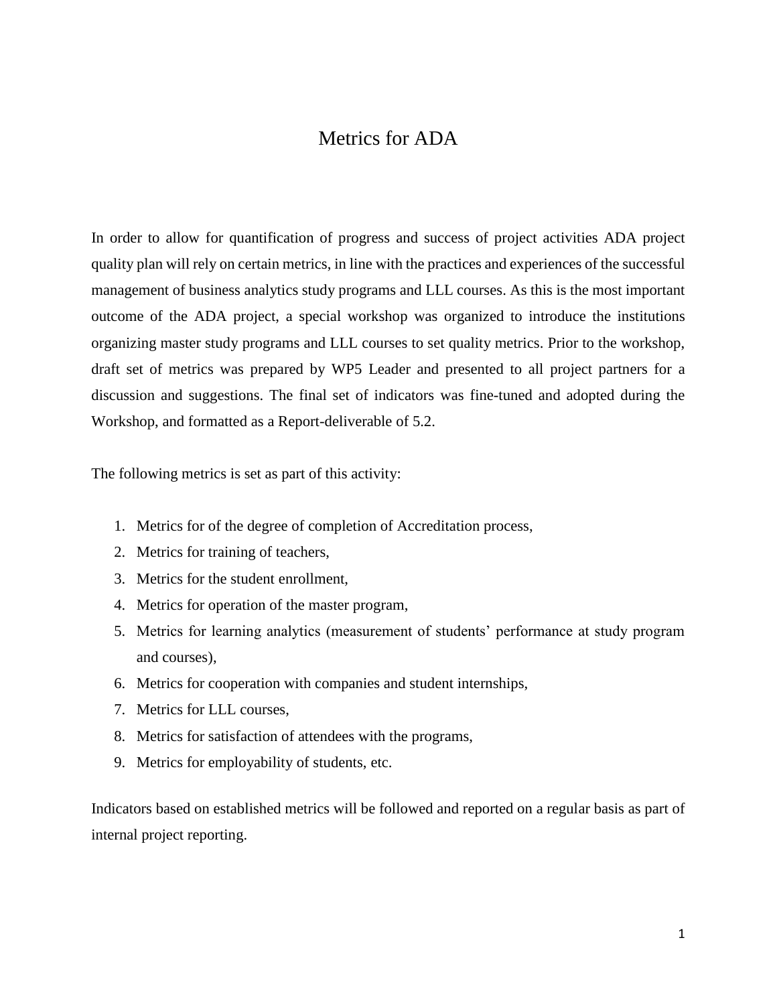## Metrics for ADA

In order to allow for quantification of progress and success of project activities ADA project quality plan will rely on certain metrics, in line with the practices and experiences of the successful management of business analytics study programs and LLL courses. As this is the most important outcome of the ADA project, a special workshop was organized to introduce the institutions organizing master study programs and LLL courses to set quality metrics. Prior to the workshop, draft set of metrics was prepared by WP5 Leader and presented to all project partners for a discussion and suggestions. The final set of indicators was fine-tuned and adopted during the Workshop, and formatted as a Report-deliverable of 5.2.

The following metrics is set as part of this activity:

- 1. Metrics for of the degree of completion of Accreditation process,
- 2. Metrics for training of teachers,
- 3. Metrics for the student enrollment,
- 4. Metrics for operation of the master program,
- 5. Metrics for learning analytics (measurement of students' performance at study program and courses),
- 6. Metrics for cooperation with companies and student internships,
- 7. Metrics for LLL courses,
- 8. Metrics for satisfaction of attendees with the programs,
- 9. Metrics for employability of students, etc.

Indicators based on established metrics will be followed and reported on a regular basis as part of internal project reporting.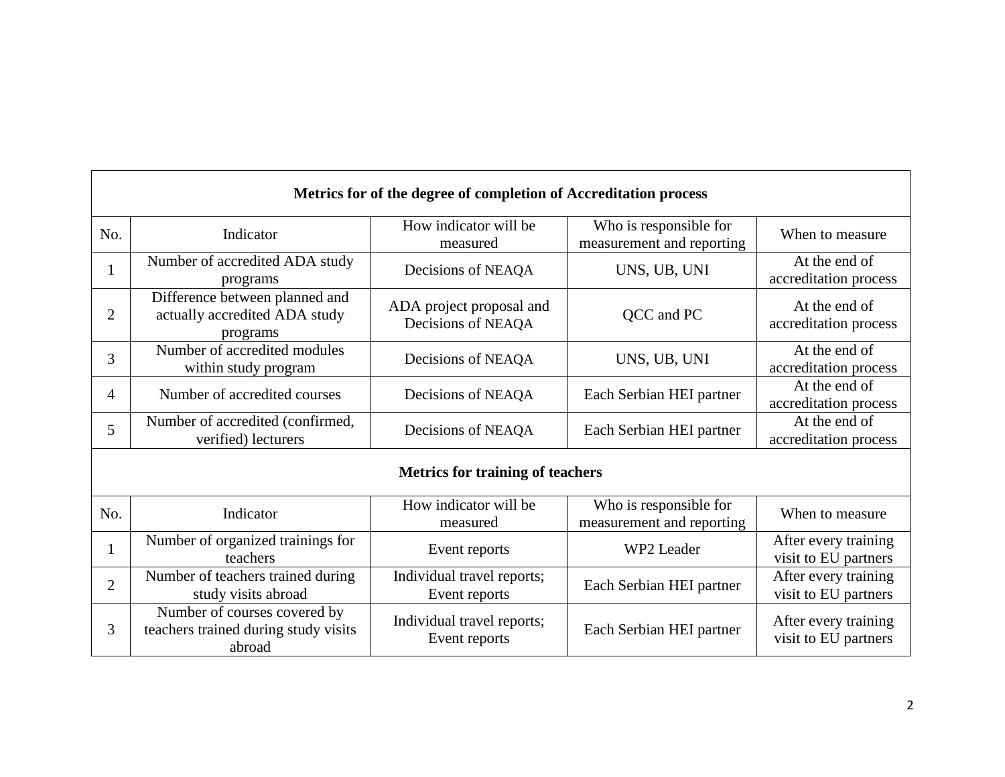|                | Metrics for of the degree of completion of Accreditation process               |                                                |                                                     |                                              |  |  |  |
|----------------|--------------------------------------------------------------------------------|------------------------------------------------|-----------------------------------------------------|----------------------------------------------|--|--|--|
| No.            | Indicator                                                                      | How indicator will be<br>measured              | Who is responsible for<br>measurement and reporting | When to measure                              |  |  |  |
| 1              | Number of accredited ADA study<br>programs                                     | Decisions of NEAQA                             | UNS, UB, UNI                                        | At the end of<br>accreditation process       |  |  |  |
| $\overline{2}$ | Difference between planned and<br>actually accredited ADA study<br>programs    | ADA project proposal and<br>Decisions of NEAQA | QCC and PC                                          | At the end of<br>accreditation process       |  |  |  |
| 3              | Number of accredited modules<br>within study program                           | Decisions of NEAQA                             | UNS, UB, UNI                                        | At the end of<br>accreditation process       |  |  |  |
| 4              | Number of accredited courses                                                   | Decisions of NEAQA                             | Each Serbian HEI partner                            | At the end of<br>accreditation process       |  |  |  |
| 5              | Number of accredited (confirmed,<br>verified) lecturers                        | Decisions of NEAQA                             | Each Serbian HEI partner                            | At the end of<br>accreditation process       |  |  |  |
|                | <b>Metrics for training of teachers</b>                                        |                                                |                                                     |                                              |  |  |  |
| No.            | Indicator                                                                      | How indicator will be<br>measured              | Who is responsible for<br>measurement and reporting | When to measure                              |  |  |  |
| 1              | Number of organized trainings for<br>teachers                                  | Event reports                                  | WP2 Leader                                          | After every training<br>visit to EU partners |  |  |  |
| $\overline{2}$ | Number of teachers trained during<br>study visits abroad                       | Individual travel reports;<br>Event reports    | Each Serbian HEI partner                            | After every training<br>visit to EU partners |  |  |  |
| 3              | Number of courses covered by<br>teachers trained during study visits<br>abroad | Individual travel reports;<br>Event reports    | Each Serbian HEI partner                            | After every training<br>visit to EU partners |  |  |  |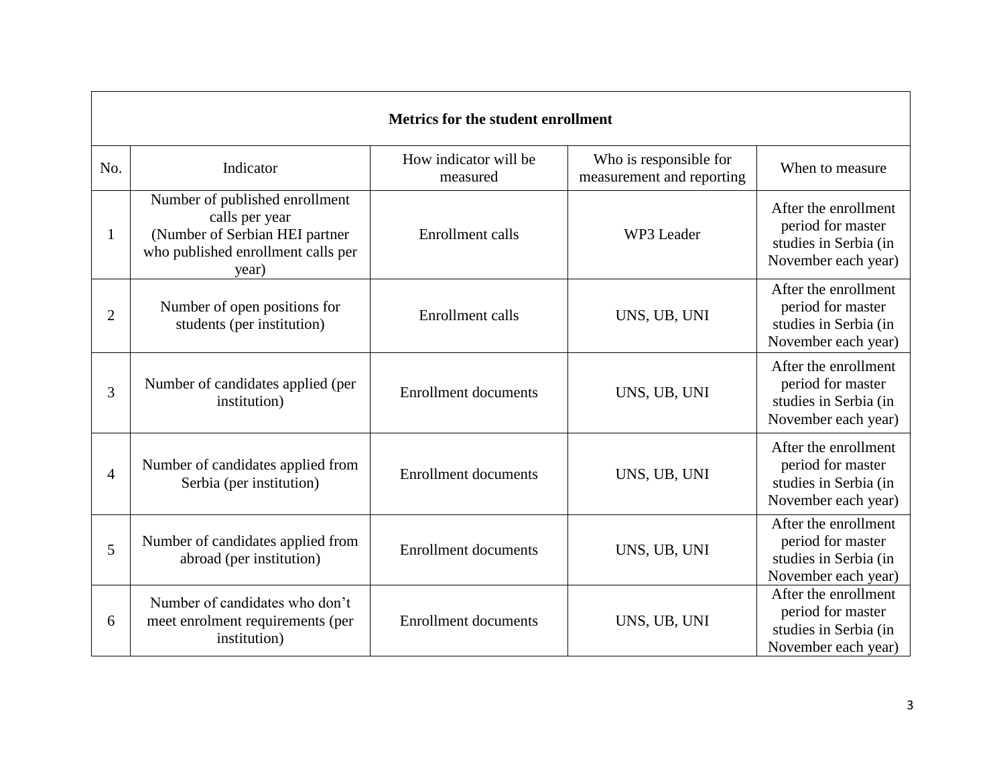|     | <b>Metrics for the student enrollment</b>                                                                                         |                                   |                                                     |                                                                                           |  |  |
|-----|-----------------------------------------------------------------------------------------------------------------------------------|-----------------------------------|-----------------------------------------------------|-------------------------------------------------------------------------------------------|--|--|
| No. | Indicator                                                                                                                         | How indicator will be<br>measured | Who is responsible for<br>measurement and reporting | When to measure                                                                           |  |  |
|     | Number of published enrollment<br>calls per year<br>(Number of Serbian HEI partner<br>who published enrollment calls per<br>year) | Enrollment calls                  | WP3 Leader                                          | After the enrollment<br>period for master<br>studies in Serbia (in<br>November each year) |  |  |
| 2   | Number of open positions for<br>students (per institution)                                                                        | Enrollment calls                  | UNS, UB, UNI                                        | After the enrollment<br>period for master<br>studies in Serbia (in<br>November each year) |  |  |
| 3   | Number of candidates applied (per<br>institution)                                                                                 | <b>Enrollment documents</b>       | UNS, UB, UNI                                        | After the enrollment<br>period for master<br>studies in Serbia (in<br>November each year) |  |  |
| 4   | Number of candidates applied from<br>Serbia (per institution)                                                                     | <b>Enrollment documents</b>       | UNS, UB, UNI                                        | After the enrollment<br>period for master<br>studies in Serbia (in<br>November each year) |  |  |
| 5   | Number of candidates applied from<br>abroad (per institution)                                                                     | <b>Enrollment documents</b>       | UNS, UB, UNI                                        | After the enrollment<br>period for master<br>studies in Serbia (in<br>November each year) |  |  |
| 6   | Number of candidates who don't<br>meet enrolment requirements (per<br>institution)                                                | <b>Enrollment documents</b>       | UNS, UB, UNI                                        | After the enrollment<br>period for master<br>studies in Serbia (in<br>November each year) |  |  |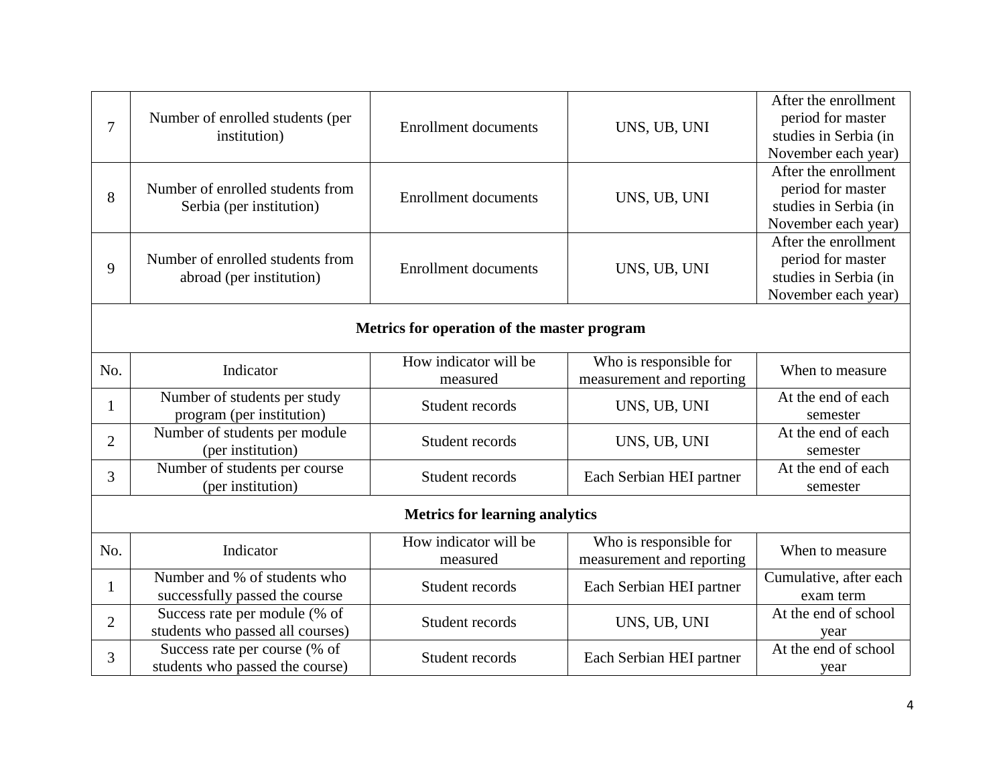| 7              | Number of enrolled students (per<br>institution)                  | <b>Enrollment documents</b>                 | UNS, UB, UNI                                        | After the enrollment<br>period for master<br>studies in Serbia (in<br>November each year) |
|----------------|-------------------------------------------------------------------|---------------------------------------------|-----------------------------------------------------|-------------------------------------------------------------------------------------------|
| 8              | Number of enrolled students from<br>Serbia (per institution)      | <b>Enrollment documents</b>                 | UNS, UB, UNI                                        | After the enrollment<br>period for master<br>studies in Serbia (in<br>November each year) |
| 9              | Number of enrolled students from<br>abroad (per institution)      | <b>Enrollment documents</b>                 | UNS, UB, UNI                                        | After the enrollment<br>period for master<br>studies in Serbia (in<br>November each year) |
|                |                                                                   | Metrics for operation of the master program |                                                     |                                                                                           |
| No.            | Indicator                                                         | How indicator will be<br>measured           | Who is responsible for<br>measurement and reporting | When to measure                                                                           |
| $\mathbf{1}$   | Number of students per study<br>program (per institution)         | Student records                             | UNS, UB, UNI                                        | At the end of each<br>semester                                                            |
| $\overline{2}$ | Number of students per module<br>(per institution)                | Student records                             | UNS, UB, UNI                                        | At the end of each<br>semester                                                            |
| 3              | Number of students per course<br>(per institution)                | Student records                             | Each Serbian HEI partner                            | At the end of each<br>semester                                                            |
|                |                                                                   | <b>Metrics for learning analytics</b>       |                                                     |                                                                                           |
| No.            | Indicator                                                         | How indicator will be<br>measured           | Who is responsible for<br>measurement and reporting | When to measure                                                                           |
| $\mathbf{1}$   | Number and % of students who<br>successfully passed the course    | Student records                             | Each Serbian HEI partner                            | Cumulative, after each<br>exam term                                                       |
| $\overline{2}$ | Success rate per module (% of<br>students who passed all courses) | Student records                             | UNS, UB, UNI                                        | At the end of school<br>year                                                              |
| 3              | Success rate per course (% of<br>students who passed the course)  | Student records                             | Each Serbian HEI partner                            | At the end of school<br>year                                                              |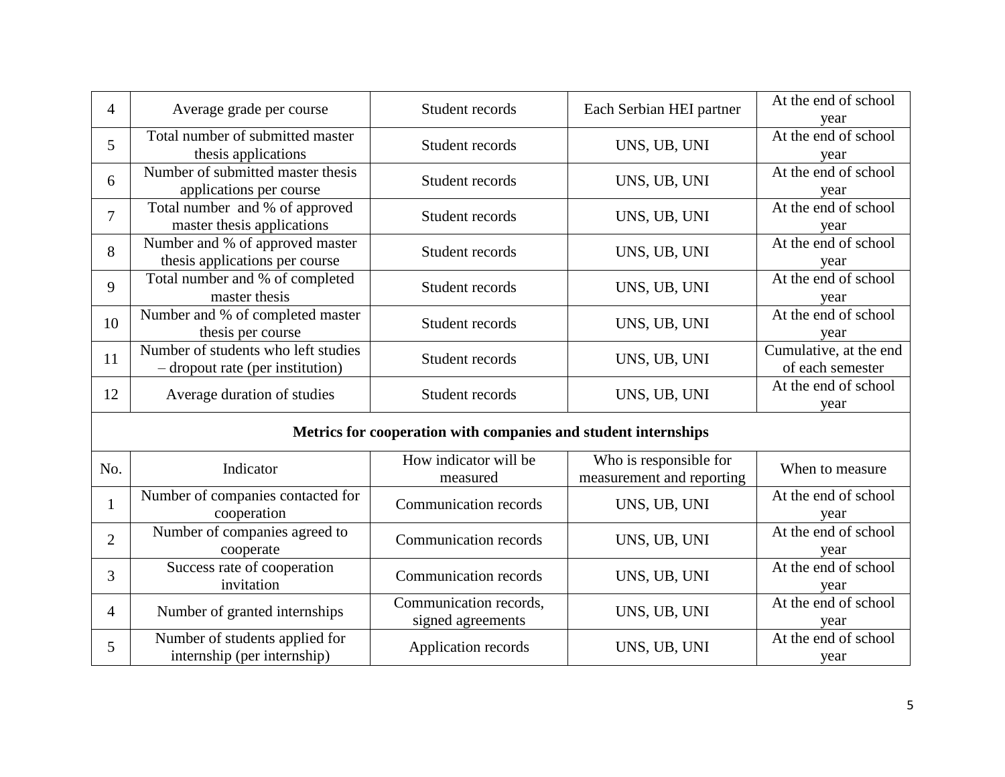| 4              | Average grade per course                                                | Student records                                                | Each Serbian HEI partner                            | At the end of school<br>year               |
|----------------|-------------------------------------------------------------------------|----------------------------------------------------------------|-----------------------------------------------------|--------------------------------------------|
| 5              | Total number of submitted master<br>thesis applications                 | Student records                                                | UNS, UB, UNI                                        | At the end of school<br>year               |
| 6              | Number of submitted master thesis<br>applications per course            | Student records                                                | UNS, UB, UNI                                        | At the end of school<br>year               |
| $\overline{7}$ | Total number and % of approved<br>master thesis applications            | Student records                                                | UNS, UB, UNI                                        | At the end of school<br>year               |
| 8              | Number and % of approved master<br>thesis applications per course       | Student records                                                | UNS, UB, UNI                                        | At the end of school<br>year               |
| 9              | Total number and % of completed<br>master thesis                        | Student records                                                | UNS, UB, UNI                                        | At the end of school<br>year               |
| 10             | Number and % of completed master<br>thesis per course                   | Student records                                                | UNS, UB, UNI                                        | At the end of school<br>year               |
| 11             | Number of students who left studies<br>- dropout rate (per institution) | Student records                                                | UNS, UB, UNI                                        | Cumulative, at the end<br>of each semester |
| 12             | Average duration of studies                                             | Student records                                                | UNS, UB, UNI                                        | At the end of school<br>year               |
|                |                                                                         | Metrics for cooperation with companies and student internships |                                                     |                                            |
| No.            | Indicator                                                               | How indicator will be<br>measured                              | Who is responsible for<br>measurement and reporting | When to measure                            |
| $\mathbf{1}$   | Number of companies contacted for<br>cooperation                        | Communication records                                          | UNS, UB, UNI                                        | At the end of school<br>year               |
| $\overline{2}$ | Number of companies agreed to<br>cooperate                              | <b>Communication records</b>                                   | UNS, UB, UNI                                        | At the end of school<br>year               |
| 3              | Success rate of cooperation<br>invitation                               | <b>Communication records</b>                                   | UNS, UB, UNI                                        | At the end of school<br>year               |
| 4              | Number of granted internships                                           | Communication records,<br>signed agreements                    | UNS, UB, UNI                                        | At the end of school<br>year               |
| 5              | Number of students applied for<br>internship (per internship)           | Application records                                            | UNS, UB, UNI                                        | At the end of school<br>year               |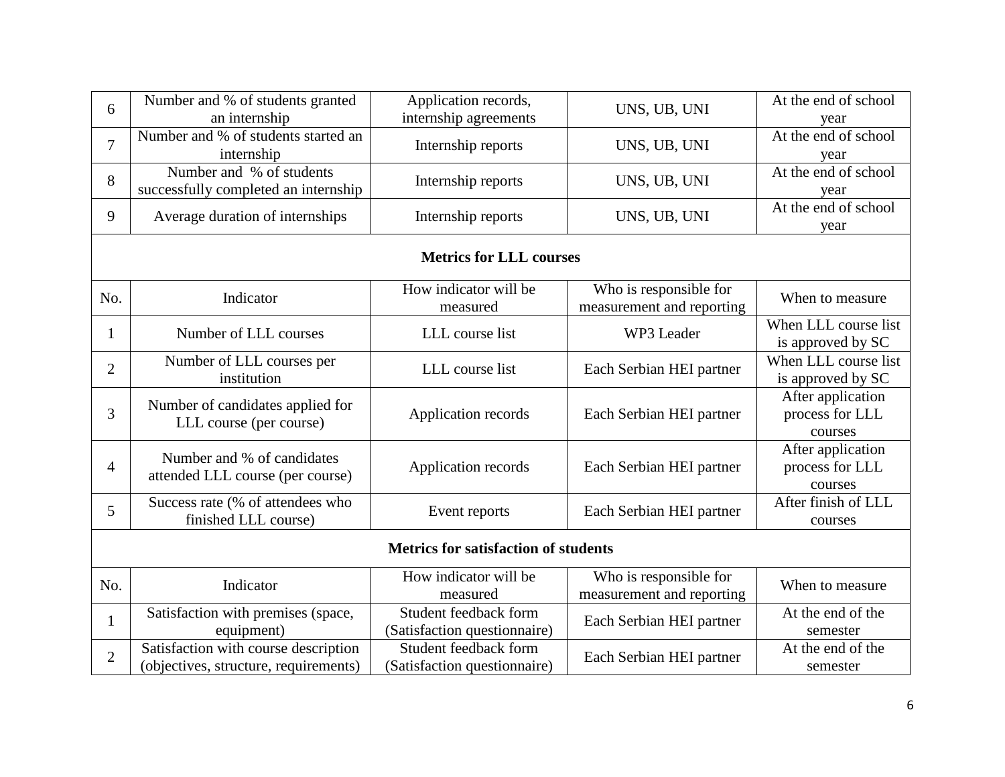| 6                                           | Number and % of students granted<br>an internship                             | Application records,<br>internship agreements         | UNS, UB, UNI                                        | At the end of school<br>year                    |  |
|---------------------------------------------|-------------------------------------------------------------------------------|-------------------------------------------------------|-----------------------------------------------------|-------------------------------------------------|--|
| $\overline{7}$                              | Number and % of students started an<br>internship                             | Internship reports                                    | UNS, UB, UNI                                        | At the end of school<br>year                    |  |
| 8                                           | Number and % of students<br>successfully completed an internship              | Internship reports                                    | UNS, UB, UNI                                        | At the end of school<br>year                    |  |
| 9                                           | Average duration of internships                                               | Internship reports                                    | UNS, UB, UNI                                        | At the end of school<br>year                    |  |
|                                             |                                                                               | <b>Metrics for LLL courses</b>                        |                                                     |                                                 |  |
| No.                                         | Indicator                                                                     | How indicator will be<br>measured                     | Who is responsible for<br>measurement and reporting | When to measure                                 |  |
| 1                                           | Number of LLL courses                                                         | LLL course list                                       | WP3 Leader                                          | When LLL course list<br>is approved by SC       |  |
| 2                                           | Number of LLL courses per<br>institution                                      | LLL course list                                       | Each Serbian HEI partner                            | When LLL course list<br>is approved by SC       |  |
| 3                                           | Number of candidates applied for<br>LLL course (per course)                   | Application records                                   | Each Serbian HEI partner                            | After application<br>process for LLL<br>courses |  |
| 4                                           | Number and % of candidates<br>attended LLL course (per course)                | Application records                                   | Each Serbian HEI partner                            | After application<br>process for LLL<br>courses |  |
| 5                                           | Success rate (% of attendees who<br>finished LLL course)                      | Event reports                                         | Each Serbian HEI partner                            | After finish of LLL<br>courses                  |  |
| <b>Metrics for satisfaction of students</b> |                                                                               |                                                       |                                                     |                                                 |  |
| No.                                         | Indicator                                                                     | How indicator will be<br>measured                     | Who is responsible for<br>measurement and reporting | When to measure                                 |  |
| $\mathbf{1}$                                | Satisfaction with premises (space,<br>equipment)                              | Student feedback form<br>(Satisfaction questionnaire) | Each Serbian HEI partner                            | At the end of the<br>semester                   |  |
| $\overline{2}$                              | Satisfaction with course description<br>(objectives, structure, requirements) | Student feedback form<br>(Satisfaction questionnaire) | Each Serbian HEI partner                            | At the end of the<br>semester                   |  |